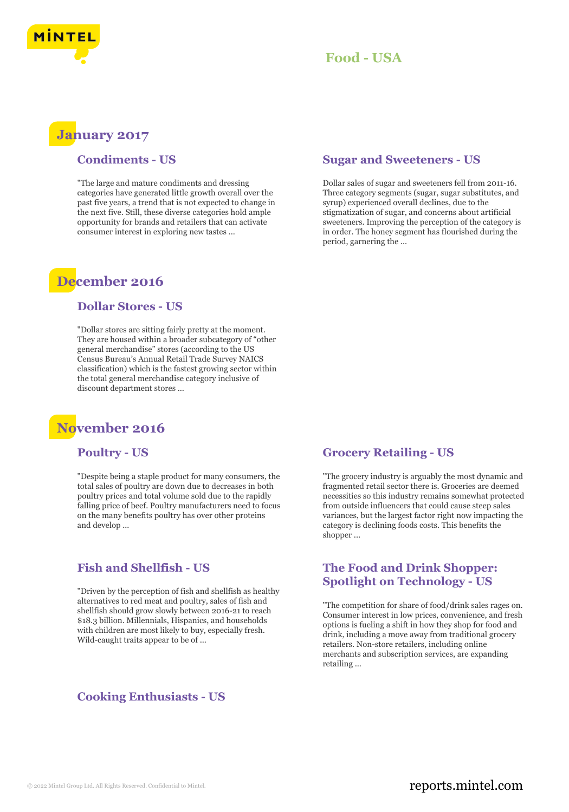

## **January 2017**

#### **Condiments - US**

"The large and mature condiments and dressing categories have generated little growth overall over the past five years, a trend that is not expected to change in the next five. Still, these diverse categories hold ample opportunity for brands and retailers that can activate consumer interest in exploring new tastes ...

## **December 2016**

#### **Dollar Stores - US**

"Dollar stores are sitting fairly pretty at the moment. They are housed within a broader subcategory of "other general merchandise" stores (according to the US Census Bureau's Annual Retail Trade Survey NAICS classification) which is the fastest growing sector within the total general merchandise category inclusive of discount department stores ...

# **November 2016**

#### **Poultry - US**

"Despite being a staple product for many consumers, the total sales of poultry are down due to decreases in both poultry prices and total volume sold due to the rapidly falling price of beef. Poultry manufacturers need to focus on the many benefits poultry has over other proteins and develop ...

#### **Fish and Shellfish - US**

"Driven by the perception of fish and shellfish as healthy alternatives to red meat and poultry, sales of fish and shellfish should grow slowly between 2016-21 to reach \$18.3 billion. Millennials, Hispanics, and households with children are most likely to buy, especially fresh. Wild-caught traits appear to be of ...

#### **Cooking Enthusiasts - US**

#### **Sugar and Sweeteners - US**

Dollar sales of sugar and sweeteners fell from 2011-16. Three category segments (sugar, sugar substitutes, and syrup) experienced overall declines, due to the stigmatization of sugar, and concerns about artificial sweeteners. Improving the perception of the category is in order. The honey segment has flourished during the period, garnering the ...

#### **Grocery Retailing - US**

"The grocery industry is arguably the most dynamic and fragmented retail sector there is. Groceries are deemed necessities so this industry remains somewhat protected from outside influencers that could cause steep sales variances, but the largest factor right now impacting the category is declining foods costs. This benefits the shopper ...

#### **The Food and Drink Shopper: Spotlight on Technology - US**

"The competition for share of food/drink sales rages on. Consumer interest in low prices, convenience, and fresh options is fueling a shift in how they shop for food and drink, including a move away from traditional grocery retailers. Non-store retailers, including online merchants and subscription services, are expanding retailing ...

## © 2022 Mintel Group Ltd. All Rights Reserved. Confidential to Mintel.  $\blacksquare$  reports.mintel.com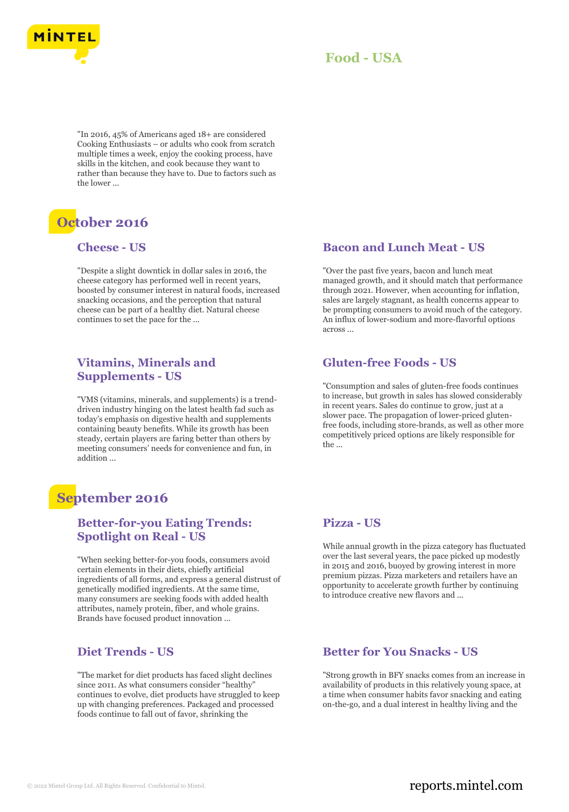

"In 2016, 45% of Americans aged 18+ are considered Cooking Enthusiasts – or adults who cook from scratch multiple times a week, enjoy the cooking process, have skills in the kitchen, and cook because they want to rather than because they have to. Due to factors such as the lower ...

# **October 2016**

#### **Cheese - US**

"Despite a slight downtick in dollar sales in 2016, the cheese category has performed well in recent years, boosted by consumer interest in natural foods, increased snacking occasions, and the perception that natural cheese can be part of a healthy diet. Natural cheese continues to set the pace for the ...

## **Vitamins, Minerals and Supplements - US**

"VMS (vitamins, minerals, and supplements) is a trenddriven industry hinging on the latest health fad such as today's emphasis on digestive health and supplements containing beauty benefits. While its growth has been steady, certain players are faring better than others by meeting consumers' needs for convenience and fun, in addition ...

# **September 2016**

#### **Better-for-you Eating Trends: Spotlight on Real - US**

"When seeking better-for-you foods, consumers avoid certain elements in their diets, chiefly artificial ingredients of all forms, and express a general distrust of genetically modified ingredients. At the same time, many consumers are seeking foods with added health attributes, namely protein, fiber, and whole grains. Brands have focused product innovation ...

#### **Diet Trends - US**

"The market for diet products has faced slight declines since 2011. As what consumers consider "healthy" continues to evolve, diet products have struggled to keep up with changing preferences. Packaged and processed foods continue to fall out of favor, shrinking the

### **Bacon and Lunch Meat - US**

"Over the past five years, bacon and lunch meat managed growth, and it should match that performance through 2021. However, when accounting for inflation, sales are largely stagnant, as health concerns appear to be prompting consumers to avoid much of the category. An influx of lower-sodium and more-flavorful options across ...

#### **Gluten-free Foods - US**

"Consumption and sales of gluten-free foods continues to increase, but growth in sales has slowed considerably in recent years. Sales do continue to grow, just at a slower pace. The propagation of lower-priced glutenfree foods, including store-brands, as well as other more competitively priced options are likely responsible for the ...

#### **Pizza - US**

While annual growth in the pizza category has fluctuated over the last several years, the pace picked up modestly in 2015 and 2016, buoyed by growing interest in more premium pizzas. Pizza marketers and retailers have an opportunity to accelerate growth further by continuing to introduce creative new flavors and ...

## **Better for You Snacks - US**

"Strong growth in BFY snacks comes from an increase in availability of products in this relatively young space, at a time when consumer habits favor snacking and eating on-the-go, and a dual interest in healthy living and the

## © 2022 Mintel Group Ltd. All Rights Reserved. Confidential to Mintel.  $\blacksquare$  reports.mintel.com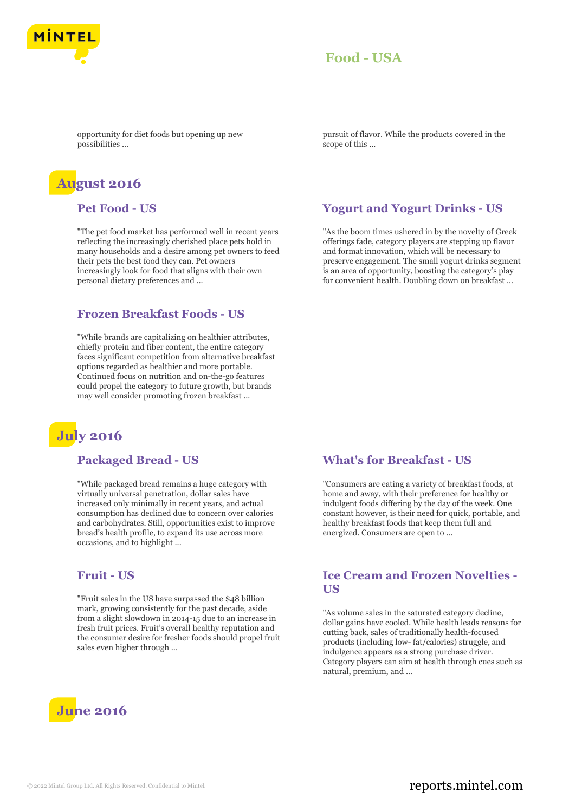

opportunity for diet foods but opening up new possibilities ...

# **August 2016**

#### **Pet Food - US**

"The pet food market has performed well in recent years reflecting the increasingly cherished place pets hold in many households and a desire among pet owners to feed their pets the best food they can. Pet owners increasingly look for food that aligns with their own personal dietary preferences and ...

#### **Frozen Breakfast Foods - US**

"While brands are capitalizing on healthier attributes, chiefly protein and fiber content, the entire category faces significant competition from alternative breakfast options regarded as healthier and more portable. Continued focus on nutrition and on-the-go features could propel the category to future growth, but brands may well consider promoting frozen breakfast ...

# **July 2016**

#### **Packaged Bread - US**

"While packaged bread remains a huge category with virtually universal penetration, dollar sales have increased only minimally in recent years, and actual consumption has declined due to concern over calories and carbohydrates. Still, opportunities exist to improve bread's health profile, to expand its use across more occasions, and to highlight ...

#### **Fruit - US**

"Fruit sales in the US have surpassed the \$48 billion mark, growing consistently for the past decade, aside from a slight slowdown in 2014-15 due to an increase in fresh fruit prices. Fruit's overall healthy reputation and the consumer desire for fresher foods should propel fruit sales even higher through ...



pursuit of flavor. While the products covered in the scope of this ...

#### **Yogurt and Yogurt Drinks - US**

"As the boom times ushered in by the novelty of Greek offerings fade, category players are stepping up flavor and format innovation, which will be necessary to preserve engagement. The small yogurt drinks segment is an area of opportunity, boosting the category's play for convenient health. Doubling down on breakfast ...

#### **What's for Breakfast - US**

"Consumers are eating a variety of breakfast foods, at home and away, with their preference for healthy or indulgent foods differing by the day of the week. One constant however, is their need for quick, portable, and healthy breakfast foods that keep them full and energized. Consumers are open to ...

#### **Ice Cream and Frozen Novelties - US**

"As volume sales in the saturated category decline, dollar gains have cooled. While health leads reasons for cutting back, sales of traditionally health-focused products (including low- fat/calories) struggle, and indulgence appears as a strong purchase driver. Category players can aim at health through cues such as natural, premium, and ...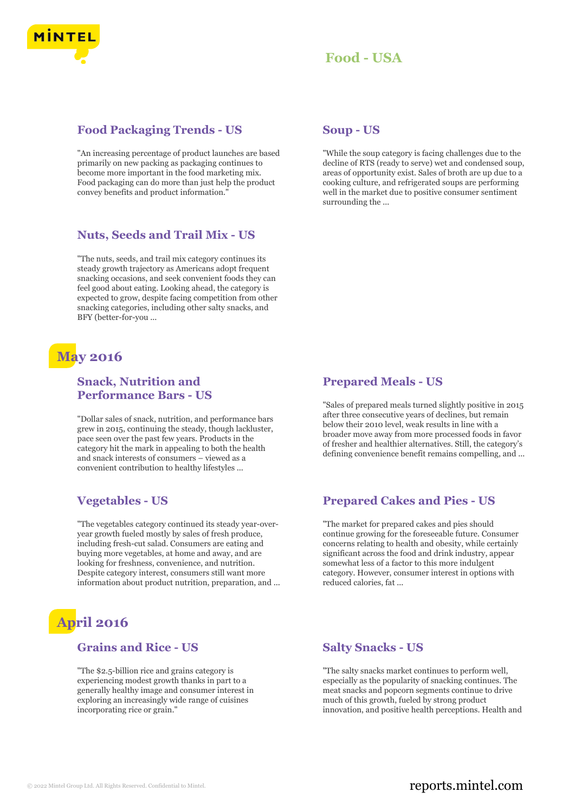

### **Food Packaging Trends - US**

"An increasing percentage of product launches are based primarily on new packing as packaging continues to become more important in the food marketing mix. Food packaging can do more than just help the product convey benefits and product information."

#### **Nuts, Seeds and Trail Mix - US**

"The nuts, seeds, and trail mix category continues its steady growth trajectory as Americans adopt frequent snacking occasions, and seek convenient foods they can feel good about eating. Looking ahead, the category is expected to grow, despite facing competition from other snacking categories, including other salty snacks, and BFY (better-for-you ...

## **May 2016**

## **Snack, Nutrition and Performance Bars - US**

"Dollar sales of snack, nutrition, and performance bars grew in 2015, continuing the steady, though lackluster, pace seen over the past few years. Products in the category hit the mark in appealing to both the health and snack interests of consumers – viewed as a convenient contribution to healthy lifestyles ...

## **Vegetables - US**

"The vegetables category continued its steady year-overyear growth fueled mostly by sales of fresh produce, including fresh-cut salad. Consumers are eating and buying more vegetables, at home and away, and are looking for freshness, convenience, and nutrition. Despite category interest, consumers still want more information about product nutrition, preparation, and ...

# **April 2016**

#### **Grains and Rice - US**

"The \$2.5-billion rice and grains category is experiencing modest growth thanks in part to a generally healthy image and consumer interest in exploring an increasingly wide range of cuisines incorporating rice or grain."

#### **Soup - US**

"While the soup category is facing challenges due to the decline of RTS (ready to serve) wet and condensed soup, areas of opportunity exist. Sales of broth are up due to a cooking culture, and refrigerated soups are performing well in the market due to positive consumer sentiment surrounding the ...

#### **Prepared Meals - US**

"Sales of prepared meals turned slightly positive in 2015 after three consecutive years of declines, but remain below their 2010 level, weak results in line with a broader move away from more processed foods in favor of fresher and healthier alternatives. Still, the category's defining convenience benefit remains compelling, and ...

#### **Prepared Cakes and Pies - US**

"The market for prepared cakes and pies should continue growing for the foreseeable future. Consumer concerns relating to health and obesity, while certainly significant across the food and drink industry, appear somewhat less of a factor to this more indulgent category. However, consumer interest in options with reduced calories, fat ...

#### **Salty Snacks - US**

"The salty snacks market continues to perform well, especially as the popularity of snacking continues. The meat snacks and popcorn segments continue to drive much of this growth, fueled by strong product innovation, and positive health perceptions. Health and

## © 2022 Mintel Group Ltd. All Rights Reserved. Confidential to Mintel.  $\blacksquare$  reports.mintel.com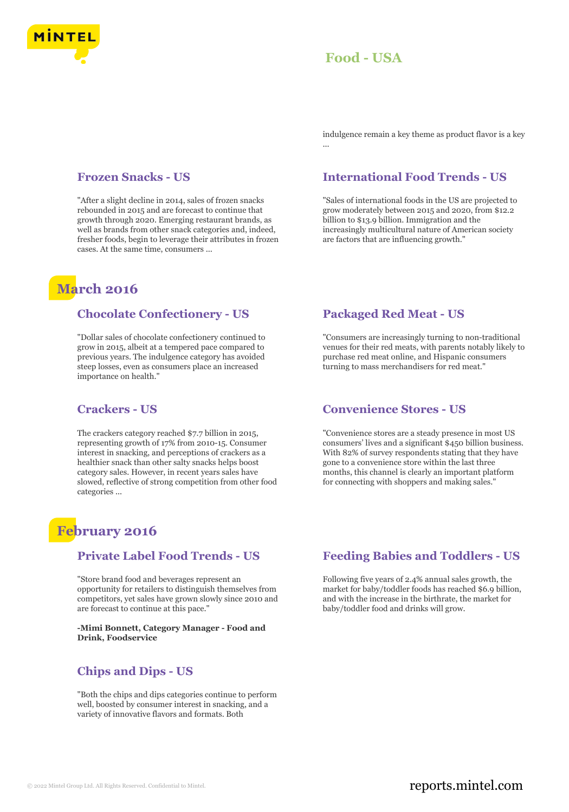

indulgence remain a key theme as product flavor is a key ...

#### **Frozen Snacks - US**

"After a slight decline in 2014, sales of frozen snacks rebounded in 2015 and are forecast to continue that growth through 2020. Emerging restaurant brands, as well as brands from other snack categories and, indeed, fresher foods, begin to leverage their attributes in frozen cases. At the same time, consumers ...

## **March 2016**

#### **Chocolate Confectionery - US**

"Dollar sales of chocolate confectionery continued to grow in 2015, albeit at a tempered pace compared to previous years. The indulgence category has avoided steep losses, even as consumers place an increased importance on health."

#### **Crackers - US**

The crackers category reached \$7.7 billion in 2015, representing growth of 17% from 2010-15. Consumer interest in snacking, and perceptions of crackers as a healthier snack than other salty snacks helps boost category sales. However, in recent years sales have slowed, reflective of strong competition from other food categories ...

## **February 2016**

#### **Private Label Food Trends - US**

"Store brand food and beverages represent an opportunity for retailers to distinguish themselves from competitors, yet sales have grown slowly since 2010 and are forecast to continue at this pace."

**-Mimi Bonnett, Category Manager - Food and Drink, Foodservice**

#### **Chips and Dips - US**

"Both the chips and dips categories continue to perform well, boosted by consumer interest in snacking, and a variety of innovative flavors and formats. Both

#### **International Food Trends - US**

"Sales of international foods in the US are projected to grow moderately between 2015 and 2020, from \$12.2 billion to \$13.9 billion. Immigration and the increasingly multicultural nature of American society are factors that are influencing growth."

#### **Packaged Red Meat - US**

"Consumers are increasingly turning to non-traditional venues for their red meats, with parents notably likely to purchase red meat online, and Hispanic consumers turning to mass merchandisers for red meat."

#### **Convenience Stores - US**

"Convenience stores are a steady presence in most US consumers' lives and a significant \$450 billion business. With 82% of survey respondents stating that they have gone to a convenience store within the last three months, this channel is clearly an important platform for connecting with shoppers and making sales."

#### **Feeding Babies and Toddlers - US**

Following five years of 2.4% annual sales growth, the market for baby/toddler foods has reached \$6.9 billion, and with the increase in the birthrate, the market for baby/toddler food and drinks will grow.